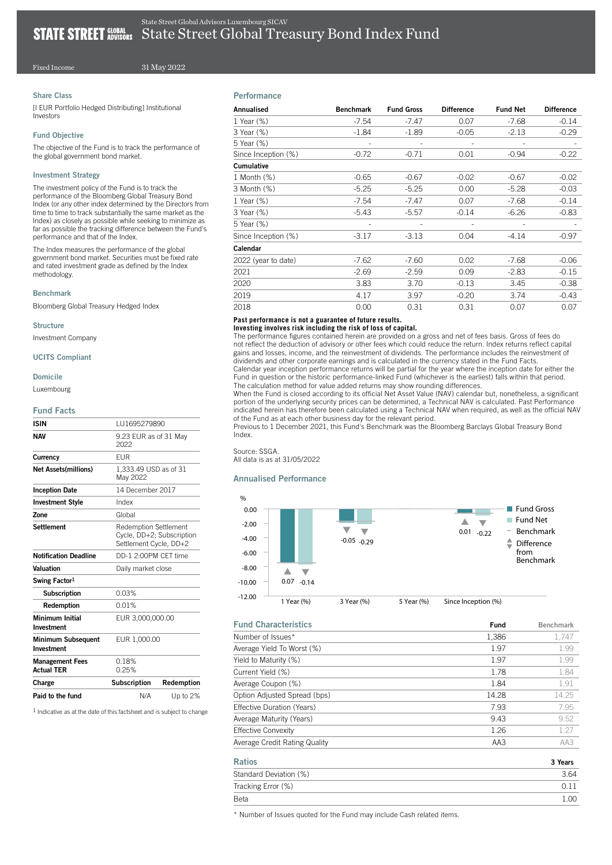# Fixed Income

31 May 2022

# Share Class

[I EUR Portfolio Hedged Distributing] Institutional Investors

### Fund Objective

The objective of the Fund is to track the performance of the global government bond market.

## Investment Strategy

The investment policy of the Fund is to track the performance of the Bloomberg Global Treasury Bond Index (or any other index determined by the Directors from time to time to track substantially the same market as the Index) as closely as possible while seeking to minimize as far as possible the tracking difference between the Fund's performance and that of the Index.

The Index measures the performance of the global government bond market. Securities must be fixed rate and rated investment grade as defined by the Index methodology.

#### Benchmark

Bloomberg Global Treasury Hedged Index

#### **Structure**

Investment Company

#### UCITS Compliant

Domicile

Luxembourg

### Fund Facts

| N/A                                                                                 | Up to 2%   |  |
|-------------------------------------------------------------------------------------|------------|--|
| Subscription                                                                        | Redemption |  |
| 0.18%<br>0.25%                                                                      |            |  |
| EUR 1.000.00                                                                        |            |  |
| EUR 3,000,000.00                                                                    |            |  |
| 0.01%                                                                               |            |  |
| 0.03%                                                                               |            |  |
|                                                                                     |            |  |
| Daily market close                                                                  |            |  |
| DD-1 2:00PM CFT time                                                                |            |  |
| <b>Redemption Settlement</b><br>Cycle, DD+2; Subscription<br>Settlement Cycle, DD+2 |            |  |
| Global                                                                              |            |  |
| Index                                                                               |            |  |
| 14 December 2017                                                                    |            |  |
| 1,333.49 USD as of 31<br>May 2022                                                   |            |  |
| FUR                                                                                 |            |  |
| 9.23 EUR as of 31 Mav<br>2022                                                       |            |  |
| LU1695279890                                                                        |            |  |
|                                                                                     |            |  |

 $<sup>1</sup>$  Indicative as at the date of this factsheet and is subject to change</sup>

# **Performance**

| Annualised          | <b>Benchmark</b>         | <b>Fund Gross</b> | <b>Difference</b>            | <b>Fund Net</b> | <b>Difference</b> |
|---------------------|--------------------------|-------------------|------------------------------|-----------------|-------------------|
| 1 Year (%)          | $-7.54$                  | $-7.47$           | 0.07                         | $-7.68$         | $-0.14$           |
| 3 Year (%)          | $-1.84$                  | $-1.89$           | $-0.05$                      | $-2.13$         | $-0.29$           |
| 5 Year (%)          | $\overline{\phantom{a}}$ |                   | $\qquad \qquad \blacksquare$ |                 |                   |
| Since Inception (%) | $-0.72$                  | $-0.71$           | 0.01                         | $-0.94$         | $-0.22$           |
| <b>Cumulative</b>   |                          |                   |                              |                 |                   |
| 1 Month (%)         | $-0.65$                  | $-0.67$           | $-0.02$                      | $-0.67$         | $-0.02$           |
| 3 Month (%)         | $-5.25$                  | $-5.25$           | 0.00                         | $-5.28$         | $-0.03$           |
| 1 Year $(\%)$       | $-7.54$                  | $-7.47$           | 0.07                         | $-7.68$         | $-0.14$           |
| 3 Year (%)          | $-5.43$                  | $-5.57$           | $-0.14$                      | $-6.26$         | $-0.83$           |
| 5 Year (%)          |                          |                   |                              |                 |                   |
| Since Inception (%) | $-3.17$                  | $-3.13$           | 0.04                         | $-4.14$         | $-0.97$           |
| Calendar            |                          |                   |                              |                 |                   |
| 2022 (year to date) | $-7.62$                  | $-7.60$           | 0.02                         | $-7.68$         | $-0.06$           |
| 2021                | $-2.69$                  | $-2.59$           | 0.09                         | $-2.83$         | $-0.15$           |
| 2020                | 3.83                     | 3.70              | $-0.13$                      | 3.45            | $-0.38$           |
| 2019                | 4.17                     | 3.97              | $-0.20$                      | 3.74            | $-0.43$           |
| 2018                | 0.00                     | 0.31              | 0.31                         | 0.07            | 0.07              |

# **Past performance is not a guarantee of future results.**

### **Investing involves risk including the risk of loss of capital.**

The performance figures contained herein are provided on a gross and net of fees basis. Gross of fees do not reflect the deduction of advisory or other fees which could reduce the return. Index returns reflect capital gains and losses, income, and the reinvestment of dividends. The performance includes the reinvestment of dividends and other corporate earnings and is calculated in the currency stated in the Fund Facts. Calendar year inception performance returns will be partial for the year where the inception date for either the

Fund in question or the historic performance-linked Fund (whichever is the earliest) falls within that period. The calculation method for value added returns may show rounding differences.

When the Fund is closed according to its official Net Asset Value (NAV) calendar but, nonetheless, a significant portion of the underlying security prices can be determined, a Technical NAV is calculated. Past Performance indicated herein has therefore been calculated using a Technical NAV when required, as well as the official NAV of the Fund as at each other business day for the relevant period.

Previous to 1 December 2021, this Fund's Benchmark was the Bloomberg Barclays Global Treasury Bond Index.

# Source: SSGA.

All data is as at 31/05/2022

# Annualised Performance



| <b>Fund Characteristics</b>       | Fund  | <b>Benchmark</b> |
|-----------------------------------|-------|------------------|
| Number of Issues*                 | 1,386 | 1,747            |
| Average Yield To Worst (%)        | 1.97  | 1.99             |
| Yield to Maturity (%)             | 1.97  | 1.99             |
| Current Yield (%)                 | 1.78  | 1.84             |
| Average Coupon (%)                | 1.84  | 1.91             |
| Option Adjusted Spread (bps)      | 14.28 | 14.25            |
| <b>Effective Duration (Years)</b> | 7.93  | 7.95             |
| Average Maturity (Years)          | 9.43  | 9.52             |
| <b>Effective Convexity</b>        | 1.26  | 1.27             |
| Average Credit Rating Quality     | AA3   | AA3              |
| <b>Ratios</b>                     |       | 3 Years          |
| Standard Deviation (%)            |       | 3.64             |
| Tracking Error (%)                |       | 0.11             |

Beta 1.00

\* Number of Issues quoted for the Fund may include Cash related items.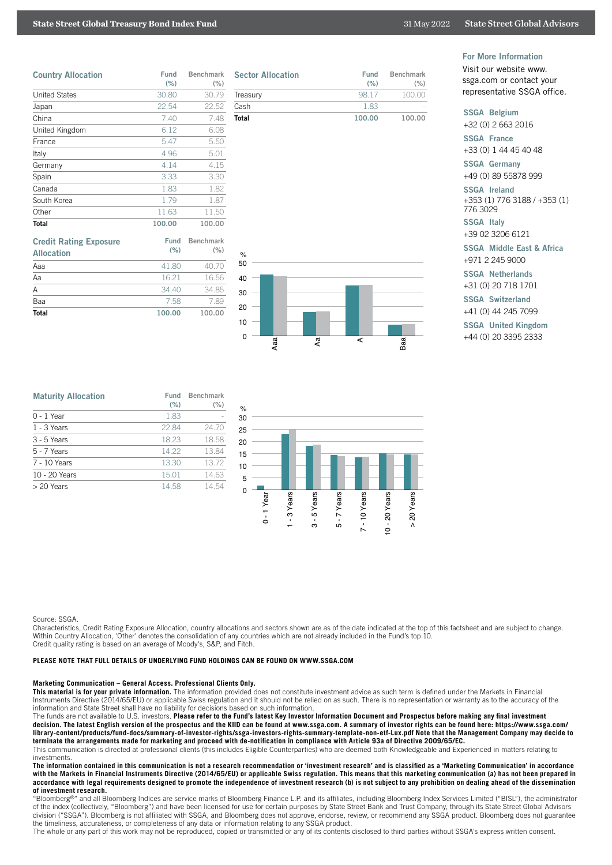# **State Street Global Treasury Bond Index Fund** 31 May 2022 State Street Global Advisors

| <b>Country Allocation</b> | Fund<br>(% ) | <b>Benchmark</b><br>(% ) |
|---------------------------|--------------|--------------------------|
| <b>United States</b>      | 30.80        | 30.79                    |
| Japan                     | 22.54        | 22.52                    |
| China                     | 7.40         | 7.48                     |
| United Kingdom            | 6.12         | 6.08                     |
| France                    | 5.47         | 5.50                     |
| Italy                     | 4.96         | 5.01                     |
| Germany                   | 4.14         | 4.15                     |
| Spain                     | 3.33         | 3.30                     |
| Canada                    | 1.83         | 1.82                     |
| South Korea               | 1.79         | 1.87                     |
| Other                     | 11.63        | 11.50                    |
| Total                     | 100.00       | 100.00                   |

| <b>Credit Rating Exposure</b><br><b>Allocation</b> | Fund<br>(% ) | <b>Benchmark</b><br>(% ) |
|----------------------------------------------------|--------------|--------------------------|
| Aaa                                                | 41.80        | 40.70                    |
| Aa                                                 | 16.21        | 16.56                    |
| Α                                                  | .3440        | 34.85                    |
| Baa                                                | 7.58         | 7.89                     |
| Total                                              | 100.00       | 100.00                   |

| <b>Sector Allocation</b> | Fund<br>(% ) | Benchmark<br>$(\% )$ |
|--------------------------|--------------|----------------------|
| Treasury                 | 98.17        | 100.00               |
| Cash                     | 183          |                      |
| Total                    | 100.00       | 100.00               |

# Aaa Aa ABaa 0 10 20 30  $40$ 50  $\circ$

For More Information

Visit our website www. ssga.com or contact your representative SSGA office.

## SSGA Belgium

+32 (0) 2 663 2016

SSGA France +33 (0) 1 44 45 40 48

SSGA Germany

+49 (0) 89 55878 999

SSGA Ireland +353 (1) 776 3188 / +353 (1) 776 3029

SSGA Italy +39 02 3206 6121

SSGA Middle East & Africa +971 2 245 9000

#### SSGA Netherlands

+31 (0) 20 718 1701

SSGA Switzerland

+41 (0) 44 245 7099

SSGA United Kingdom

+44 (0) 20 3395 2333

| <b>Maturity Allocation</b> | <b>Fund</b><br>(% ) | <b>Benchmark</b><br>(% ) |
|----------------------------|---------------------|--------------------------|
| $0 - 1$ Year               | 1.83                |                          |
| $1 - 3$ Years              | 22.84               | 24.70                    |
| $3 - 5$ Years              | 18.23               | 18.58                    |
| 5 - 7 Years                | 14.22               | 13.84                    |
| 7 - 10 Years               | 13.30               | 13.72                    |
| 10 - 20 Years              | 15.01               | 14.63                    |
| $> 20$ Years               | 14.58               | 14.54                    |



#### Source: SSGA.

Characteristics, Credit Rating Exposure Allocation, country allocations and sectors shown are as of the date indicated at the top of this factsheet and are subject to change. Within Country Allocation, 'Other' denotes the consolidation of any countries which are not already included in the Fund's top 10. Credit quality rating is based on an average of Moody's, S&P, and Fitch.

## **PLEASE NOTE THAT FULL DETAILS OF UNDERLYING FUND HOLDINGS CAN BE FOUND ON WWW.SSGA.COM**

### **Marketing Communication – General Access. Professional Clients Only.**

**This material is for your private information.** The information provided does not constitute investment advice as such term is defined under the Markets in Financial Instruments Directive (2014/65/EU) or applicable Swiss regulation and it should not be relied on as such. There is no representation or warranty as to the accuracy of the information and State Street shall have no liability for decisions based on such information.

The funds are not available to U.S. investors. **Please refer to the Fund's latest Key Investor Information Document and Prospectus before making any final investment decision. The latest English version of the prospectus and the KIID can be found at www.ssga.com. A summary of investor rights can be found here: https://www.ssga.com/ library-content/products/fund-docs/summary-of-investor-rights/ssga-investors-rights-summary-template-non-etf-Lux.pdf Note that the Management Company may decide to terminate the arrangements made for marketing and proceed with de-notification in compliance with Article 93a of Directive 2009/65/EC.**

This communication is directed at professional clients (this includes Eligible Counterparties) who are deemed both Knowledgeable and Experienced in matters relating to investments.

**The information contained in this communication is not a research recommendation or 'investment research' and is classified as a 'Marketing Communication' in accordance with the Markets in Financial Instruments Directive (2014/65/EU) or applicable Swiss regulation. This means that this marketing communication (a) has not been prepared in accordance with legal requirements designed to promote the independence of investment research (b) is not subject to any prohibition on dealing ahead of the dissemination of investment research.**

"Bloomberg<sup>®</sup>" and all Bloomberg Indices are service marks of Bloomberg Finance L.P. and its affiliates, including Bloomberg Index Services Limited ("BISL"), the administrator of the index (collectively, "Bloomberg") and have been licensed for use for certain purposes by State Street Bank and Trust Company, through its State Street Global Advisors division ("SSGA"). Bloomberg is not affiliated with SSGA, and Bloomberg does not approve, endorse, review, or recommend any SSGA product. Bloomberg does not guarantee the timeliness, accurateness, or completeness of any data or information relating to any SSGA product.

The whole or any part of this work may not be reproduced, copied or transmitted or any of its contents disclosed to third parties without SSGA's express written consent.